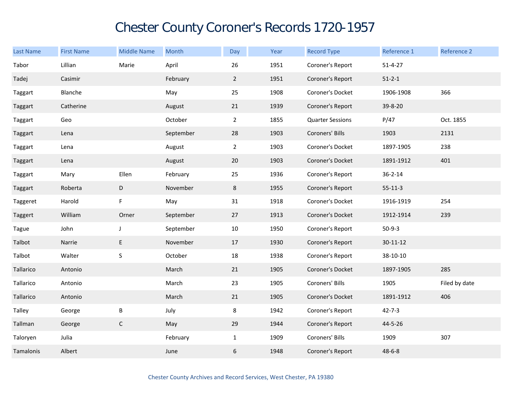## Chester County Coroner's Records 1720-1957

| <b>Last Name</b> | <b>First Name</b> | <b>Middle Name</b> | Month     | Day            | Year | <b>Record Type</b>      | Reference 1    | Reference 2   |
|------------------|-------------------|--------------------|-----------|----------------|------|-------------------------|----------------|---------------|
| Tabor            | Lillian           | Marie              | April     | 26             | 1951 | Coroner's Report        | $51 - 4 - 27$  |               |
| Tadej            | Casimir           |                    | February  | $\overline{2}$ | 1951 | Coroner's Report        | $51 - 2 - 1$   |               |
| Taggart          | Blanche           |                    | May       | 25             | 1908 | Coroner's Docket        | 1906-1908      | 366           |
| Taggart          | Catherine         |                    | August    | 21             | 1939 | Coroner's Report        | 39-8-20        |               |
| Taggart          | Geo               |                    | October   | $\overline{2}$ | 1855 | <b>Quarter Sessions</b> | P/47           | Oct. 1855     |
| Taggart          | Lena              |                    | September | 28             | 1903 | Coroners' Bills         | 1903           | 2131          |
| Taggart          | Lena              |                    | August    | $2^{\circ}$    | 1903 | Coroner's Docket        | 1897-1905      | 238           |
| Taggart          | Lena              |                    | August    | 20             | 1903 | Coroner's Docket        | 1891-1912      | 401           |
| Taggart          | Mary              | Ellen              | February  | 25             | 1936 | Coroner's Report        | $36 - 2 - 14$  |               |
| Taggart          | Roberta           | D                  | November  | 8              | 1955 | Coroner's Report        | $55 - 11 - 3$  |               |
| Taggeret         | Harold            | F                  | May       | 31             | 1918 | Coroner's Docket        | 1916-1919      | 254           |
| Taggert          | William           | Orner              | September | 27             | 1913 | Coroner's Docket        | 1912-1914      | 239           |
| Tague            | John              | $\mathsf J$        | September | 10             | 1950 | Coroner's Report        | $50-9-3$       |               |
| Talbot           | Narrie            | E                  | November  | 17             | 1930 | Coroner's Report        | $30 - 11 - 12$ |               |
| Talbot           | Walter            | $\mathsf S$        | October   | $18\,$         | 1938 | Coroner's Report        | 38-10-10       |               |
| Tallarico        | Antonio           |                    | March     | 21             | 1905 | Coroner's Docket        | 1897-1905      | 285           |
| Tallarico        | Antonio           |                    | March     | 23             | 1905 | Coroners' Bills         | 1905           | Filed by date |
| Tallarico        | Antonio           |                    | March     | 21             | 1905 | Coroner's Docket        | 1891-1912      | 406           |
| Talley           | George            | Β                  | July      | 8              | 1942 | Coroner's Report        | $42 - 7 - 3$   |               |
| Tallman          | George            | $\mathsf C$        | May       | 29             | 1944 | Coroner's Report        | 44-5-26        |               |
| Taloryen         | Julia             |                    | February  | $\mathbf{1}$   | 1909 | Coroners' Bills         | 1909           | 307           |
| Tamalonis        | Albert            |                    | June      | 6              | 1948 | Coroner's Report        | $48 - 6 - 8$   |               |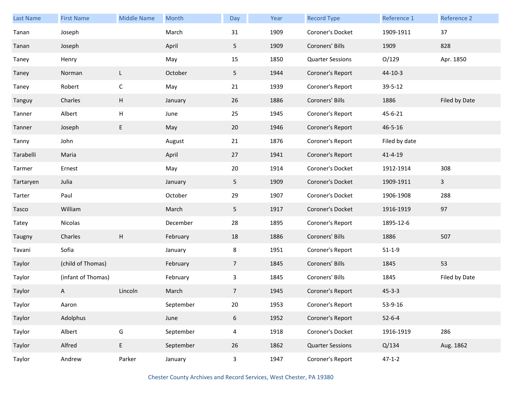| Last Name | <b>First Name</b>  | <b>Middle Name</b> | Month     | Day                     | Year | <b>Record Type</b>      | Reference 1   | Reference 2   |
|-----------|--------------------|--------------------|-----------|-------------------------|------|-------------------------|---------------|---------------|
| Tanan     | Joseph             |                    | March     | 31                      | 1909 | Coroner's Docket        | 1909-1911     | 37            |
| Tanan     | Joseph             |                    | April     | 5                       | 1909 | Coroners' Bills         | 1909          | 828           |
| Taney     | Henry              |                    | May       | 15                      | 1850 | <b>Quarter Sessions</b> | O/129         | Apr. 1850     |
| Taney     | Norman             | L                  | October   | 5                       | 1944 | Coroner's Report        | $44-10-3$     |               |
| Taney     | Robert             | $\mathsf C$        | May       | 21                      | 1939 | Coroner's Report        | 39-5-12       |               |
| Tanguy    | Charles            | H                  | January   | 26                      | 1886 | Coroners' Bills         | 1886          | Filed by Date |
| Tanner    | Albert             | Н                  | June      | 25                      | 1945 | Coroner's Report        | 45-6-21       |               |
| Tanner    | Joseph             | E                  | May       | 20                      | 1946 | Coroner's Report        | $46 - 5 - 16$ |               |
| Tanny     | John               |                    | August    | 21                      | 1876 | Coroner's Report        | Filed by date |               |
| Tarabelli | Maria              |                    | April     | 27                      | 1941 | Coroner's Report        | $41 - 4 - 19$ |               |
| Tarmer    | Ernest             |                    | May       | 20                      | 1914 | Coroner's Docket        | 1912-1914     | 308           |
| Tartaryen | Julia              |                    | January   | 5                       | 1909 | Coroner's Docket        | 1909-1911     | $\mathbf{3}$  |
| Tarter    | Paul               |                    | October   | 29                      | 1907 | Coroner's Docket        | 1906-1908     | 288           |
| Tasco     | William            |                    | March     | 5 <sub>1</sub>          | 1917 | Coroner's Docket        | 1916-1919     | 97            |
| Tatey     | Nicolas            |                    | December  | 28                      | 1895 | Coroner's Report        | 1895-12-6     |               |
| Taugny    | Charles            | H                  | February  | 18                      | 1886 | Coroners' Bills         | 1886          | 507           |
| Tavani    | Sofia              |                    | January   | 8                       | 1951 | Coroner's Report        | $51 - 1 - 9$  |               |
| Taylor    | (child of Thomas)  |                    | February  | $7\overline{ }$         | 1845 | Coroners' Bills         | 1845          | 53            |
| Taylor    | (infant of Thomas) |                    | February  | 3                       | 1845 | Coroners' Bills         | 1845          | Filed by Date |
| Taylor    | A                  | Lincoln            | March     | 7 <sup>1</sup>          | 1945 | Coroner's Report        | $45 - 3 - 3$  |               |
| Taylor    | Aaron              |                    | September | 20                      | 1953 | Coroner's Report        | 53-9-16       |               |
| Taylor    | Adolphus           |                    | June      | $6\phantom{.}$          | 1952 | Coroner's Report        | $52 - 6 - 4$  |               |
| Taylor    | Albert             | ${\mathsf G}$      | September | $\overline{4}$          | 1918 | Coroner's Docket        | 1916-1919     | 286           |
| Taylor    | Alfred             | E                  | September | 26                      | 1862 | <b>Quarter Sessions</b> | Q/134         | Aug. 1862     |
| Taylor    | Andrew             | Parker             | January   | $\overline{\mathbf{3}}$ | 1947 | Coroner's Report        | $47 - 1 - 2$  |               |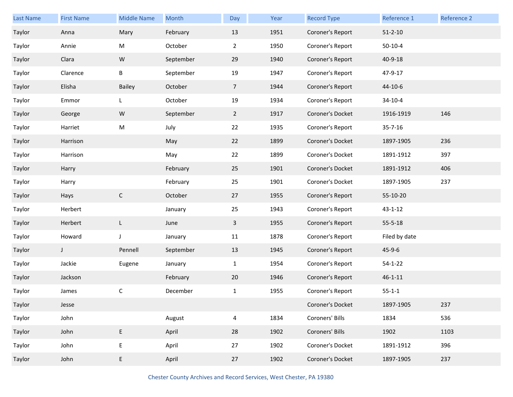| Last Name | <b>First Name</b> | <b>Middle Name</b> | Month     | Day            | Year | <b>Record Type</b> | Reference 1   | Reference 2 |
|-----------|-------------------|--------------------|-----------|----------------|------|--------------------|---------------|-------------|
| Taylor    | Anna              | Mary               | February  | 13             | 1951 | Coroner's Report   | $51 - 2 - 10$ |             |
| Taylor    | Annie             | M                  | October   | $\overline{2}$ | 1950 | Coroner's Report   | $50-10-4$     |             |
| Taylor    | Clara             | ${\sf W}$          | September | 29             | 1940 | Coroner's Report   | 40-9-18       |             |
| Taylor    | Clarence          | Β                  | September | 19             | 1947 | Coroner's Report   | 47-9-17       |             |
| Taylor    | Elisha            | <b>Bailey</b>      | October   | $\overline{7}$ | 1944 | Coroner's Report   | 44-10-6       |             |
| Taylor    | Emmor             | L                  | October   | 19             | 1934 | Coroner's Report   | $34 - 10 - 4$ |             |
| Taylor    | George            | ${\sf W}$          | September | $\overline{2}$ | 1917 | Coroner's Docket   | 1916-1919     | 146         |
| Taylor    | Harriet           | M                  | July      | 22             | 1935 | Coroner's Report   | $35 - 7 - 16$ |             |
| Taylor    | Harrison          |                    | May       | 22             | 1899 | Coroner's Docket   | 1897-1905     | 236         |
| Taylor    | Harrison          |                    | May       | 22             | 1899 | Coroner's Docket   | 1891-1912     | 397         |
| Taylor    | Harry             |                    | February  | 25             | 1901 | Coroner's Docket   | 1891-1912     | 406         |
| Taylor    | Harry             |                    | February  | 25             | 1901 | Coroner's Docket   | 1897-1905     | 237         |
| Taylor    | Hays              | $\mathsf C$        | October   | 27             | 1955 | Coroner's Report   | 55-10-20      |             |
| Taylor    | Herbert           |                    | January   | 25             | 1943 | Coroner's Report   | $43 - 1 - 12$ |             |
| Taylor    | Herbert           | L                  | June      | $\mathbf{3}$   | 1955 | Coroner's Report   | $55 - 5 - 18$ |             |
| Taylor    | Howard            | J                  | January   | 11             | 1878 | Coroner's Report   | Filed by date |             |
| Taylor    | J                 | Pennell            | September | 13             | 1945 | Coroner's Report   | $45 - 9 - 6$  |             |
| Taylor    | Jackie            | Eugene             | January   | $\mathbf{1}$   | 1954 | Coroner's Report   | $54 - 1 - 22$ |             |
| Taylor    | Jackson           |                    | February  | 20             | 1946 | Coroner's Report   | $46 - 1 - 11$ |             |
| Taylor    | James             | С                  | December  | $\mathbf{1}$   | 1955 | Coroner's Report   | $55 - 1 - 1$  |             |
| Taylor    | Jesse             |                    |           |                |      | Coroner's Docket   | 1897-1905     | 237         |
| Taylor    | John              |                    | August    | 4              | 1834 | Coroners' Bills    | 1834          | 536         |
| Taylor    | John              | E                  | April     | 28             | 1902 | Coroners' Bills    | 1902          | 1103        |
| Taylor    | John              | E,                 | April     | 27             | 1902 | Coroner's Docket   | 1891-1912     | 396         |
| Taylor    | John              | E                  | April     | 27             | 1902 | Coroner's Docket   | 1897-1905     | 237         |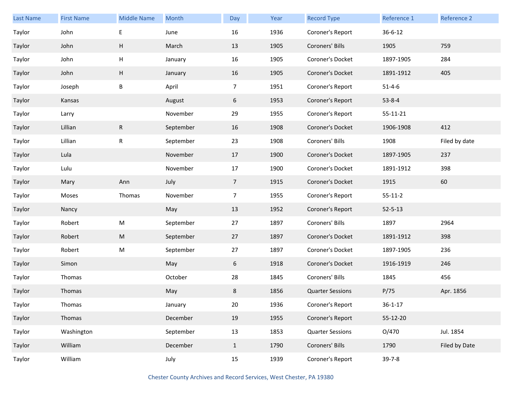| Last Name | <b>First Name</b> | <b>Middle Name</b> | Month     | Day             | Year | <b>Record Type</b>      | Reference 1   | Reference 2   |
|-----------|-------------------|--------------------|-----------|-----------------|------|-------------------------|---------------|---------------|
| Taylor    | John              | E                  | June      | 16              | 1936 | Coroner's Report        | $36 - 6 - 12$ |               |
| Taylor    | John              | Н                  | March     | 13              | 1905 | Coroners' Bills         | 1905          | 759           |
| Taylor    | John              | Н                  | January   | 16              | 1905 | Coroner's Docket        | 1897-1905     | 284           |
| Taylor    | John              | H                  | January   | 16              | 1905 | Coroner's Docket        | 1891-1912     | 405           |
| Taylor    | Joseph            | Β                  | April     | $\overline{7}$  | 1951 | Coroner's Report        | $51 - 4 - 6$  |               |
| Taylor    | Kansas            |                    | August    | 6               | 1953 | Coroner's Report        | $53 - 8 - 4$  |               |
| Taylor    | Larry             |                    | November  | 29              | 1955 | Coroner's Report        | 55-11-21      |               |
| Taylor    | Lillian           | R                  | September | 16              | 1908 | Coroner's Docket        | 1906-1908     | 412           |
| Taylor    | Lillian           | $\mathsf{R}$       | September | 23              | 1908 | Coroners' Bills         | 1908          | Filed by date |
| Taylor    | Lula              |                    | November  | 17              | 1900 | Coroner's Docket        | 1897-1905     | 237           |
| Taylor    | Lulu              |                    | November  | 17              | 1900 | Coroner's Docket        | 1891-1912     | 398           |
| Taylor    | Mary              | Ann                | July      | $7\overline{ }$ | 1915 | Coroner's Docket        | 1915          | 60            |
| Taylor    | Moses             | Thomas             | November  | $\overline{7}$  | 1955 | Coroner's Report        | $55 - 11 - 2$ |               |
| Taylor    | Nancy             |                    | May       | 13              | 1952 | Coroner's Report        | $52 - 5 - 13$ |               |
| Taylor    | Robert            | ${\sf M}$          | September | 27              | 1897 | Coroners' Bills         | 1897          | 2964          |
| Taylor    | Robert            | M                  | September | 27              | 1897 | Coroner's Docket        | 1891-1912     | 398           |
| Taylor    | Robert            | M                  | September | 27              | 1897 | Coroner's Docket        | 1897-1905     | 236           |
| Taylor    | Simon             |                    | May       | 6               | 1918 | Coroner's Docket        | 1916-1919     | 246           |
| Taylor    | Thomas            |                    | October   | 28              | 1845 | Coroners' Bills         | 1845          | 456           |
| Taylor    | Thomas            |                    | May       | 8               | 1856 | <b>Quarter Sessions</b> | P/75          | Apr. 1856     |
| Taylor    | Thomas            |                    | January   | 20              | 1936 | Coroner's Report        | $36 - 1 - 17$ |               |
| Taylor    | Thomas            |                    | December  | 19              | 1955 | Coroner's Report        | 55-12-20      |               |
| Taylor    | Washington        |                    | September | 13              | 1853 | <b>Quarter Sessions</b> | O/470         | Jul. 1854     |
| Taylor    | William           |                    | December  | $\mathbf{1}$    | 1790 | Coroners' Bills         | 1790          | Filed by Date |
| Taylor    | William           |                    | July      | 15              | 1939 | Coroner's Report        | $39 - 7 - 8$  |               |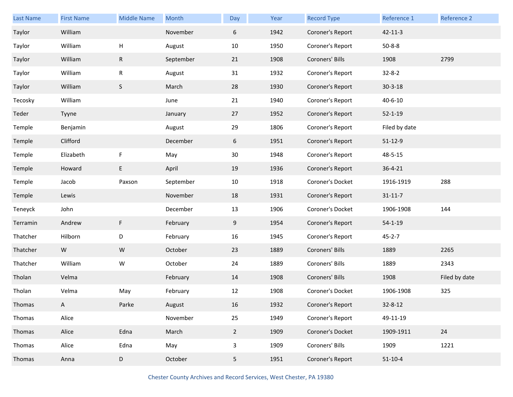| Last Name | <b>First Name</b> | <b>Middle Name</b> | Month     | Day         | Year | <b>Record Type</b> | Reference 1   | Reference 2   |
|-----------|-------------------|--------------------|-----------|-------------|------|--------------------|---------------|---------------|
| Taylor    | William           |                    | November  | 6           | 1942 | Coroner's Report   | $42 - 11 - 3$ |               |
| Taylor    | William           | н                  | August    | 10          | 1950 | Coroner's Report   | $50 - 8 - 8$  |               |
| Taylor    | William           | R                  | September | 21          | 1908 | Coroners' Bills    | 1908          | 2799          |
| Taylor    | William           | R                  | August    | 31          | 1932 | Coroner's Report   | $32 - 8 - 2$  |               |
| Taylor    | William           | $\sf S$            | March     | 28          | 1930 | Coroner's Report   | $30 - 3 - 18$ |               |
| Tecosky   | William           |                    | June      | 21          | 1940 | Coroner's Report   | $40 - 6 - 10$ |               |
| Teder     | Tyyne             |                    | January   | 27          | 1952 | Coroner's Report   | $52 - 1 - 19$ |               |
| Temple    | Benjamin          |                    | August    | 29          | 1806 | Coroner's Report   | Filed by date |               |
| Temple    | Clifford          |                    | December  | 6           | 1951 | Coroner's Report   | $51 - 12 - 9$ |               |
| Temple    | Elizabeth         | F                  | May       | 30          | 1948 | Coroner's Report   | 48-5-15       |               |
| Temple    | Howard            | E                  | April     | 19          | 1936 | Coroner's Report   | $36 - 4 - 21$ |               |
| Temple    | Jacob             | Paxson             | September | 10          | 1918 | Coroner's Docket   | 1916-1919     | 288           |
| Temple    | Lewis             |                    | November  | 18          | 1931 | Coroner's Report   | $31 - 11 - 7$ |               |
| Teneyck   | John              |                    | December  | 13          | 1906 | Coroner's Docket   | 1906-1908     | 144           |
| Terramin  | Andrew            | F                  | February  | 9           | 1954 | Coroner's Report   | $54 - 1 - 19$ |               |
| Thatcher  | Hilborn           | D                  | February  | 16          | 1945 | Coroner's Report   | $45 - 2 - 7$  |               |
| Thatcher  | W                 | ${\sf W}$          | October   | 23          | 1889 | Coroners' Bills    | 1889          | 2265          |
| Thatcher  | William           | W                  | October   | 24          | 1889 | Coroners' Bills    | 1889          | 2343          |
| Tholan    | Velma             |                    | February  | 14          | 1908 | Coroners' Bills    | 1908          | Filed by date |
| Tholan    | Velma             | May                | February  | 12          | 1908 | Coroner's Docket   | 1906-1908     | 325           |
| Thomas    | A                 | Parke              | August    | 16          | 1932 | Coroner's Report   | $32 - 8 - 12$ |               |
| Thomas    | Alice             |                    | November  | 25          | 1949 | Coroner's Report   | 49-11-19      |               |
| Thomas    | Alice             | Edna               | March     | $2^{\circ}$ | 1909 | Coroner's Docket   | 1909-1911     | 24            |
| Thomas    | Alice             | Edna               | May       | 3           | 1909 | Coroners' Bills    | 1909          | 1221          |
| Thomas    | Anna              | D                  | October   | 5           | 1951 | Coroner's Report   | $51 - 10 - 4$ |               |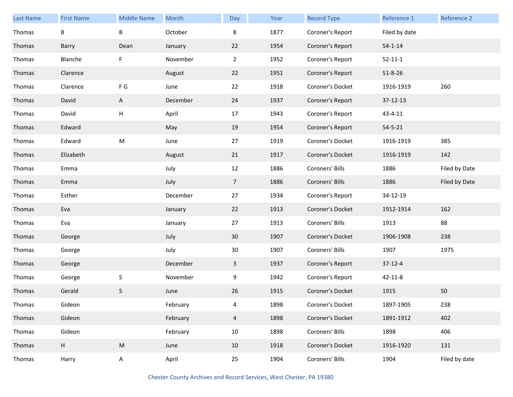| Last Name | <b>First Name</b> | <b>Middle Name</b> | Month    | Day             | Year | <b>Record Type</b> | Reference 1   | <b>Reference 2</b> |
|-----------|-------------------|--------------------|----------|-----------------|------|--------------------|---------------|--------------------|
| Thomas    | B                 | B                  | October  | 8               | 1877 | Coroner's Report   | Filed by date |                    |
| Thomas    | Barry             | Dean               | January  | 22              | 1954 | Coroner's Report   | $54 - 1 - 14$ |                    |
| Thomas    | Blanche           | F                  | November | $\overline{2}$  | 1952 | Coroner's Report   | $52 - 11 - 1$ |                    |
| Thomas    | Clarence          |                    | August   | 22              | 1951 | Coroner's Report   | $51 - 8 - 26$ |                    |
| Thomas    | Clarence          | F G                | June     | 22              | 1918 | Coroner's Docket   | 1916-1919     | 260                |
| Thomas    | David             | A                  | December | 24              | 1937 | Coroner's Report   | 37-12-13      |                    |
| Thomas    | David             | $\sf H$            | April    | 17              | 1943 | Coroner's Report   | $43 - 4 - 11$ |                    |
| Thomas    | Edward            |                    | May      | 19              | 1954 | Coroner's Report   | $54 - 5 - 21$ |                    |
| Thomas    | Edward            | ${\sf M}$          | June     | 27              | 1919 | Coroner's Docket   | 1916-1919     | 385                |
| Thomas    | Elizabeth         |                    | August   | 21              | 1917 | Coroner's Docket   | 1916-1919     | 142                |
| Thomas    | Emma              |                    | July     | 12              | 1886 | Coroners' Bills    | 1886          | Filed by Date      |
| Thomas    | Emma              |                    | July     | $\overline{7}$  | 1886 | Coroners' Bills    | 1886          | Filed by Date      |
| Thomas    | Esther            |                    | December | 27              | 1934 | Coroner's Report   | 34-12-19      |                    |
| Thomas    | Eva               |                    | January  | 22              | 1913 | Coroner's Docket   | 1912-1914     | 162                |
| Thomas    | Eva               |                    | January  | 27              | 1913 | Coroners' Bills    | 1913          | 88                 |
| Thomas    | George            |                    | July     | 30 <sup>°</sup> | 1907 | Coroner's Docket   | 1906-1908     | 238                |
| Thomas    | George            |                    | July     | 30              | 1907 | Coroners' Bills    | 1907          | 1975               |
| Thomas    | George            |                    | December | 3               | 1937 | Coroner's Report   | $37-12-4$     |                    |
| Thomas    | George            | $\sf S$            | November | 9               | 1942 | Coroner's Report   | $42 - 11 - 8$ |                    |
| Thomas    | Gerald            | S                  | June     | 26              | 1915 | Coroner's Docket   | 1915          | 50                 |
| Thomas    | Gideon            |                    | February | 4               | 1898 | Coroner's Docket   | 1897-1905     | 238                |
| Thomas    | Gideon            |                    | February | $\overline{4}$  | 1898 | Coroner's Docket   | 1891-1912     | 402                |
| Thomas    | Gideon            |                    | February | 10              | 1898 | Coroners' Bills    | 1898          | 406                |
| Thomas    | H                 | ${\sf M}$          | June     | 10              | 1918 | Coroner's Docket   | 1916-1920     | 131                |
| Thomas    | Harry             | A                  | April    | 25              | 1904 | Coroners' Bills    | 1904          | Filed by date      |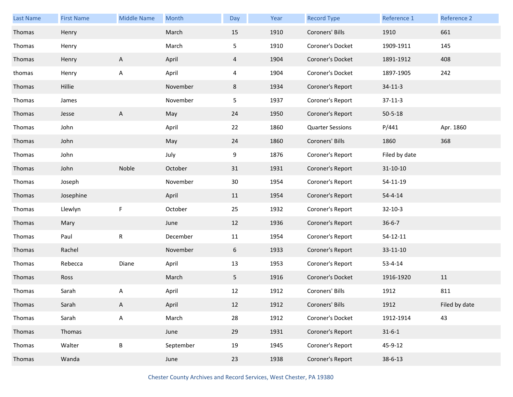| Last Name | <b>First Name</b> | <b>Middle Name</b> | Month     | Day | Year | <b>Record Type</b>      | Reference 1    | Reference 2   |
|-----------|-------------------|--------------------|-----------|-----|------|-------------------------|----------------|---------------|
| Thomas    | Henry             |                    | March     | 15  | 1910 | Coroners' Bills         | 1910           | 661           |
| Thomas    | Henry             |                    | March     | 5   | 1910 | Coroner's Docket        | 1909-1911      | 145           |
| Thomas    | Henry             | A                  | April     | 4   | 1904 | Coroner's Docket        | 1891-1912      | 408           |
| thomas    | Henry             | А                  | April     | 4   | 1904 | Coroner's Docket        | 1897-1905      | 242           |
| Thomas    | Hillie            |                    | November  | 8   | 1934 | Coroner's Report        | $34 - 11 - 3$  |               |
| Thomas    | James             |                    | November  | 5   | 1937 | Coroner's Report        | $37 - 11 - 3$  |               |
| Thomas    | Jesse             | A                  | May       | 24  | 1950 | Coroner's Report        | $50 - 5 - 18$  |               |
| Thomas    | John              |                    | April     | 22  | 1860 | <b>Quarter Sessions</b> | P/441          | Apr. 1860     |
| Thomas    | John              |                    | May       | 24  | 1860 | Coroners' Bills         | 1860           | 368           |
| Thomas    | John              |                    | July      | 9   | 1876 | Coroner's Report        | Filed by date  |               |
| Thomas    | John              | Noble              | October   | 31  | 1931 | Coroner's Report        | $31 - 10 - 10$ |               |
| Thomas    | Joseph            |                    | November  | 30  | 1954 | Coroner's Report        | 54-11-19       |               |
| Thomas    | Josephine         |                    | April     | 11  | 1954 | Coroner's Report        | $54 - 4 - 14$  |               |
| Thomas    | Llewlyn           | F                  | October   | 25  | 1932 | Coroner's Report        | $32 - 10 - 3$  |               |
| Thomas    | Mary              |                    | June      | 12  | 1936 | Coroner's Report        | $36 - 6 - 7$   |               |
| Thomas    | Paul              | R                  | December  | 11  | 1954 | Coroner's Report        | $54 - 12 - 11$ |               |
| Thomas    | Rachel            |                    | November  | 6   | 1933 | Coroner's Report        | 33-11-10       |               |
| Thomas    | Rebecca           | Diane              | April     | 13  | 1953 | Coroner's Report        | $53 - 4 - 14$  |               |
| Thomas    | Ross              |                    | March     | 5   | 1916 | Coroner's Docket        | 1916-1920      | 11            |
| Thomas    | Sarah             | А                  | April     | 12  | 1912 | Coroners' Bills         | 1912           | 811           |
| Thomas    | Sarah             | A                  | April     | 12  | 1912 | Coroners' Bills         | 1912           | Filed by date |
| Thomas    | Sarah             | $\mathsf A$        | March     | 28  | 1912 | Coroner's Docket        | 1912-1914      | 43            |
| Thomas    | Thomas            |                    | June      | 29  | 1931 | Coroner's Report        | $31 - 6 - 1$   |               |
| Thomas    | Walter            | $\sf B$            | September | 19  | 1945 | Coroner's Report        | 45-9-12        |               |
| Thomas    | Wanda             |                    | June      | 23  | 1938 | Coroner's Report        | $38 - 6 - 13$  |               |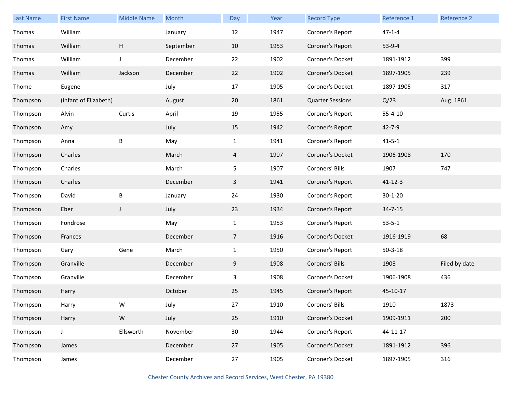| <b>Last Name</b> | <b>First Name</b>     | <b>Middle Name</b>        | Month     | Day            | Year | <b>Record Type</b>      | Reference 1   | Reference 2   |
|------------------|-----------------------|---------------------------|-----------|----------------|------|-------------------------|---------------|---------------|
| Thomas           | William               |                           | January   | 12             | 1947 | Coroner's Report        | $47 - 1 - 4$  |               |
| Thomas           | William               | $\boldsymbol{\mathsf{H}}$ | September | 10             | 1953 | Coroner's Report        | 53-9-4        |               |
| Thomas           | William               | J                         | December  | 22             | 1902 | Coroner's Docket        | 1891-1912     | 399           |
| Thomas           | William               | Jackson                   | December  | 22             | 1902 | Coroner's Docket        | 1897-1905     | 239           |
| Thome            | Eugene                |                           | July      | 17             | 1905 | Coroner's Docket        | 1897-1905     | 317           |
| Thompson         | (infant of Elizabeth) |                           | August    | 20             | 1861 | <b>Quarter Sessions</b> | Q/23          | Aug. 1861     |
| Thompson         | Alvin                 | Curtis                    | April     | 19             | 1955 | Coroner's Report        | $55 - 4 - 10$ |               |
| Thompson         | Amy                   |                           | July      | 15             | 1942 | Coroner's Report        | $42 - 7 - 9$  |               |
| Thompson         | Anna                  | B                         | May       | $\mathbf{1}$   | 1941 | Coroner's Report        | $41 - 5 - 1$  |               |
| Thompson         | Charles               |                           | March     | $\overline{4}$ | 1907 | Coroner's Docket        | 1906-1908     | 170           |
| Thompson         | Charles               |                           | March     | 5              | 1907 | Coroners' Bills         | 1907          | 747           |
| Thompson         | Charles               |                           | December  | 3              | 1941 | Coroner's Report        | $41 - 12 - 3$ |               |
| Thompson         | David                 | $\sf B$                   | January   | 24             | 1930 | Coroner's Report        | $30 - 1 - 20$ |               |
| Thompson         | Eber                  | J                         | July      | 23             | 1934 | Coroner's Report        | $34 - 7 - 15$ |               |
| Thompson         | Fondrose              |                           | May       | $\mathbf{1}$   | 1953 | Coroner's Report        | $53 - 5 - 1$  |               |
| Thompson         | Frances               |                           | December  | $\overline{7}$ | 1916 | Coroner's Docket        | 1916-1919     | 68            |
| Thompson         | Gary                  | Gene                      | March     | $\mathbf{1}$   | 1950 | Coroner's Report        | $50 - 3 - 18$ |               |
| Thompson         | Granville             |                           | December  | 9              | 1908 | Coroners' Bills         | 1908          | Filed by date |
| Thompson         | Granville             |                           | December  | 3              | 1908 | Coroner's Docket        | 1906-1908     | 436           |
| Thompson         | Harry                 |                           | October   | 25             | 1945 | Coroner's Report        | 45-10-17      |               |
| Thompson         | Harry                 | W                         | July      | 27             | 1910 | Coroners' Bills         | 1910          | 1873          |
| Thompson         | Harry                 | ${\sf W}$                 | July      | 25             | 1910 | Coroner's Docket        | 1909-1911     | 200           |
| Thompson         | J                     | Ellsworth                 | November  | 30             | 1944 | Coroner's Report        | 44-11-17      |               |
| Thompson         | James                 |                           | December  | 27             | 1905 | Coroner's Docket        | 1891-1912     | 396           |
| Thompson         | James                 |                           | December  | 27             | 1905 | Coroner's Docket        | 1897-1905     | 316           |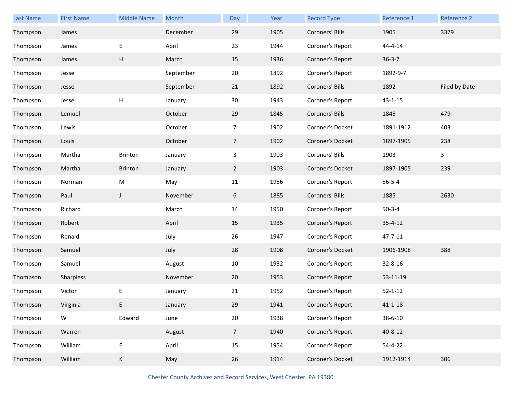| <b>Last Name</b> | <b>First Name</b> | <b>Middle Name</b> | Month     | Day             | Year | <b>Record Type</b> | Reference 1   | Reference 2   |
|------------------|-------------------|--------------------|-----------|-----------------|------|--------------------|---------------|---------------|
| Thompson         | James             |                    | December  | 29              | 1905 | Coroners' Bills    | 1905          | 3379          |
| Thompson         | James             | E                  | April     | 23              | 1944 | Coroner's Report   | $44 - 4 - 14$ |               |
| Thompson         | James             | H                  | March     | 15              | 1936 | Coroner's Report   | $36 - 3 - 7$  |               |
| Thompson         | Jesse             |                    | September | 20              | 1892 | Coroner's Report   | 1892-9-7      |               |
| Thompson         | Jesse             |                    | September | 21              | 1892 | Coroners' Bills    | 1892          | Filed by Date |
| Thompson         | Jesse             | Н                  | January   | 30              | 1943 | Coroner's Report   | $43 - 1 - 15$ |               |
| Thompson         | Lemuel            |                    | October   | 29              | 1845 | Coroners' Bills    | 1845          | 479           |
| Thompson         | Lewis             |                    | October   | 7               | 1902 | Coroner's Docket   | 1891-1912     | 403           |
| Thompson         | Louis             |                    | October   | $\overline{7}$  | 1902 | Coroner's Docket   | 1897-1905     | 238           |
| Thompson         | Martha            | Brinton            | January   | 3               | 1903 | Coroners' Bills    | 1903          | 3             |
| Thompson         | Martha            | Brinton            | January   | 2 <sup>1</sup>  | 1903 | Coroner's Docket   | 1897-1905     | 239           |
| Thompson         | Norman            | M                  | May       | 11              | 1956 | Coroner's Report   | $56 - 5 - 4$  |               |
| Thompson         | Paul              | J                  | November  | 6               | 1885 | Coroners' Bills    | 1885          | 2630          |
| Thompson         | Richard           |                    | March     | 14              | 1950 | Coroner's Report   | $50 - 3 - 4$  |               |
| Thompson         | Robert            |                    | April     | 15              | 1935 | Coroner's Report   | $35 - 4 - 12$ |               |
| Thompson         | Ronald            |                    | July      | 26              | 1947 | Coroner's Report   | 47-7-11       |               |
| Thompson         | Samuel            |                    | July      | 28              | 1908 | Coroner's Docket   | 1906-1908     | 388           |
| Thompson         | Samuel            |                    | August    | 10              | 1932 | Coroner's Report   | 32-8-16       |               |
| Thompson         | Sharpless         |                    | November  | 20              | 1953 | Coroner's Report   | 53-11-19      |               |
| Thompson         | Victor            | Е                  | January   | 21              | 1952 | Coroner's Report   | $52 - 1 - 12$ |               |
| Thompson         | Virginia          | E.                 | January   | 29              | 1941 | Coroner's Report   | $41 - 1 - 18$ |               |
| Thompson         | ${\sf W}$         | Edward             | June      | 20              | 1938 | Coroner's Report   | 38-6-10       |               |
| Thompson         | Warren            |                    | August    | $7\overline{ }$ | 1940 | Coroner's Report   | $40 - 8 - 12$ |               |
| Thompson         | William           | E                  | April     | 15              | 1954 | Coroner's Report   | $54 - 4 - 22$ |               |
| Thompson         | William           | К                  | May       | 26              | 1914 | Coroner's Docket   | 1912-1914     | 306           |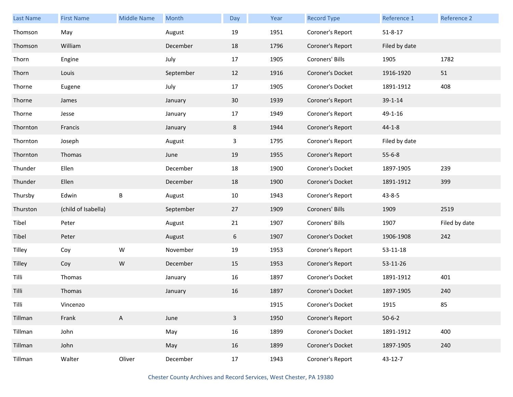| Last Name     | <b>First Name</b>   | <b>Middle Name</b> | Month     | Day          | Year | <b>Record Type</b> | Reference 1   | Reference 2   |
|---------------|---------------------|--------------------|-----------|--------------|------|--------------------|---------------|---------------|
| Thomson       | May                 |                    | August    | 19           | 1951 | Coroner's Report   | $51 - 8 - 17$ |               |
| Thomson       | William             |                    | December  | 18           | 1796 | Coroner's Report   | Filed by date |               |
| Thorn         | Engine              |                    | July      | 17           | 1905 | Coroners' Bills    | 1905          | 1782          |
| Thorn         | Louis               |                    | September | 12           | 1916 | Coroner's Docket   | 1916-1920     | 51            |
| Thorne        | Eugene              |                    | July      | 17           | 1905 | Coroner's Docket   | 1891-1912     | 408           |
| Thorne        | James               |                    | January   | 30           | 1939 | Coroner's Report   | 39-1-14       |               |
| Thorne        | Jesse               |                    | January   | 17           | 1949 | Coroner's Report   | 49-1-16       |               |
| Thornton      | Francis             |                    | January   | 8            | 1944 | Coroner's Report   | $44 - 1 - 8$  |               |
| Thornton      | Joseph              |                    | August    | 3            | 1795 | Coroner's Report   | Filed by date |               |
| Thornton      | Thomas              |                    | June      | 19           | 1955 | Coroner's Report   | $55 - 6 - 8$  |               |
| Thunder       | Ellen               |                    | December  | 18           | 1900 | Coroner's Docket   | 1897-1905     | 239           |
| Thunder       | Ellen               |                    | December  | 18           | 1900 | Coroner's Docket   | 1891-1912     | 399           |
| Thursby       | Edwin               | $\sf B$            | August    | 10           | 1943 | Coroner's Report   | $43 - 8 - 5$  |               |
| Thurston      | (child of Isabella) |                    | September | 27           | 1909 | Coroners' Bills    | 1909          | 2519          |
| Tibel         | Peter               |                    | August    | 21           | 1907 | Coroners' Bills    | 1907          | Filed by date |
| Tibel         | Peter               |                    | August    | 6            | 1907 | Coroner's Docket   | 1906-1908     | 242           |
| Tilley        | Coy                 | ${\sf W}$          | November  | $19\,$       | 1953 | Coroner's Report   | 53-11-18      |               |
| <b>Tilley</b> | Coy                 | ${\sf W}$          | December  | 15           | 1953 | Coroner's Report   | 53-11-26      |               |
| Tilli         | Thomas              |                    | January   | 16           | 1897 | Coroner's Docket   | 1891-1912     | 401           |
| Tilli         | Thomas              |                    | January   | 16           | 1897 | Coroner's Docket   | 1897-1905     | 240           |
| Tilli         | Vincenzo            |                    |           |              | 1915 | Coroner's Docket   | 1915          | 85            |
| Tillman       | Frank               | A                  | June      | $\mathbf{3}$ | 1950 | Coroner's Report   | $50 - 6 - 2$  |               |
| Tillman       | John                |                    | May       | 16           | 1899 | Coroner's Docket   | 1891-1912     | 400           |
| Tillman       | John                |                    | May       | 16           | 1899 | Coroner's Docket   | 1897-1905     | 240           |
| Tillman       | Walter              | Oliver             | December  | 17           | 1943 | Coroner's Report   | 43-12-7       |               |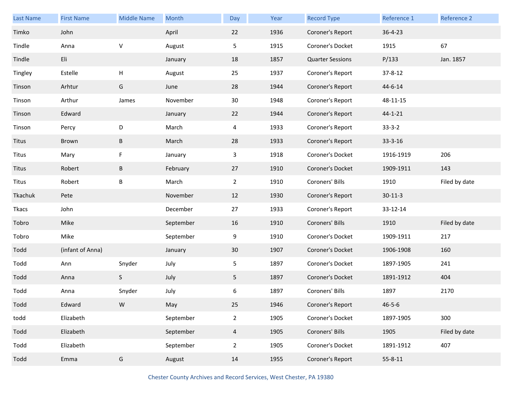| Last Name | <b>First Name</b> | <b>Middle Name</b> | Month     | Day            | Year | <b>Record Type</b>      | Reference 1   | Reference 2   |
|-----------|-------------------|--------------------|-----------|----------------|------|-------------------------|---------------|---------------|
| Timko     | John              |                    | April     | 22             | 1936 | Coroner's Report        | $36 - 4 - 23$ |               |
| Tindle    | Anna              | V                  | August    | 5              | 1915 | Coroner's Docket        | 1915          | 67            |
| Tindle    | Eli               |                    | January   | 18             | 1857 | <b>Quarter Sessions</b> | P/133         | Jan. 1857     |
| Tingley   | Estelle           | н                  | August    | 25             | 1937 | Coroner's Report        | 37-8-12       |               |
| Tinson    | Arhtur            | G                  | June      | 28             | 1944 | Coroner's Report        | 44-6-14       |               |
| Tinson    | Arthur            | James              | November  | 30             | 1948 | Coroner's Report        | 48-11-15      |               |
| Tinson    | Edward            |                    | January   | 22             | 1944 | Coroner's Report        | $44 - 1 - 21$ |               |
| Tinson    | Percy             | D                  | March     | 4              | 1933 | Coroner's Report        | $33 - 3 - 2$  |               |
| Titus     | Brown             | B                  | March     | 28             | 1933 | Coroner's Report        | 33-3-16       |               |
| Titus     | Mary              | F                  | January   | 3              | 1918 | Coroner's Docket        | 1916-1919     | 206           |
| Titus     | Robert            | B                  | February  | 27             | 1910 | Coroner's Docket        | 1909-1911     | 143           |
| Titus     | Robert            | B                  | March     | $\overline{2}$ | 1910 | Coroners' Bills         | 1910          | Filed by date |
| Tkachuk   | Pete              |                    | November  | 12             | 1930 | Coroner's Report        | $30 - 11 - 3$ |               |
| Tkacs     | John              |                    | December  | 27             | 1933 | Coroner's Report        | 33-12-14      |               |
| Tobro     | Mike              |                    | September | 16             | 1910 | Coroners' Bills         | 1910          | Filed by date |
| Tobro     | Mike              |                    | September | 9              | 1910 | Coroner's Docket        | 1909-1911     | 217           |
| Todd      | (infant of Anna)  |                    | January   | 30             | 1907 | Coroner's Docket        | 1906-1908     | 160           |
| Todd      | Ann               | Snyder             | July      | 5              | 1897 | Coroner's Docket        | 1897-1905     | 241           |
| Todd      | Anna              | S                  | July      | 5 <sub>1</sub> | 1897 | Coroner's Docket        | 1891-1912     | 404           |
| Todd      | Anna              | Snyder             | July      | 6              | 1897 | Coroners' Bills         | 1897          | 2170          |
| Todd      | Edward            | W                  | May       | 25             | 1946 | Coroner's Report        | $46 - 5 - 6$  |               |
| todd      | Elizabeth         |                    | September | $\overline{2}$ | 1905 | Coroner's Docket        | 1897-1905     | 300           |
| Todd      | Elizabeth         |                    | September | $\overline{4}$ | 1905 | Coroners' Bills         | 1905          | Filed by date |
| Todd      | Elizabeth         |                    | September | $\overline{2}$ | 1905 | Coroner's Docket        | 1891-1912     | 407           |
| Todd      | Emma              | G                  | August    | 14             | 1955 | Coroner's Report        | $55 - 8 - 11$ |               |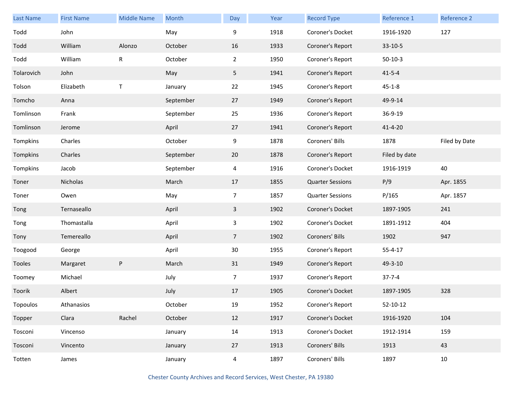| <b>Last Name</b> | <b>First Name</b> | <b>Middle Name</b> | Month     | Day             | Year | <b>Record Type</b>      | Reference 1    | Reference 2   |
|------------------|-------------------|--------------------|-----------|-----------------|------|-------------------------|----------------|---------------|
| Todd             | John              |                    | May       | 9               | 1918 | Coroner's Docket        | 1916-1920      | 127           |
| Todd             | William           | Alonzo             | October   | 16              | 1933 | Coroner's Report        | 33-10-5        |               |
| Todd             | William           | R                  | October   | $\overline{2}$  | 1950 | Coroner's Report        | $50-10-3$      |               |
| Tolarovich       | John              |                    | May       | 5               | 1941 | Coroner's Report        | $41 - 5 - 4$   |               |
| Tolson           | Elizabeth         | $\sf T$            | January   | 22              | 1945 | Coroner's Report        | $45 - 1 - 8$   |               |
| Tomcho           | Anna              |                    | September | 27              | 1949 | Coroner's Report        | 49-9-14        |               |
| Tomlinson        | Frank             |                    | September | 25              | 1936 | Coroner's Report        | 36-9-19        |               |
| Tomlinson        | Jerome            |                    | April     | 27              | 1941 | Coroner's Report        | $41 - 4 - 20$  |               |
| Tompkins         | Charles           |                    | October   | 9               | 1878 | Coroners' Bills         | 1878           | Filed by Date |
| Tompkins         | Charles           |                    | September | 20              | 1878 | Coroner's Report        | Filed by date  |               |
| Tompkins         | Jacob             |                    | September | $\overline{4}$  | 1916 | Coroner's Docket        | 1916-1919      | 40            |
| Toner            | Nicholas          |                    | March     | 17              | 1855 | <b>Quarter Sessions</b> | P/9            | Apr. 1855     |
| Toner            | Owen              |                    | May       | $\overline{7}$  | 1857 | <b>Quarter Sessions</b> | P/165          | Apr. 1857     |
| Tong             | Ternaseallo       |                    | April     | $\mathbf{3}$    | 1902 | Coroner's Docket        | 1897-1905      | 241           |
| Tong             | Thomastalla       |                    | April     | 3               | 1902 | Coroner's Docket        | 1891-1912      | 404           |
| Tony             | Temereallo        |                    | April     | $7\overline{ }$ | 1902 | Coroners' Bills         | 1902           | 947           |
| Toogood          | George            |                    | April     | 30              | 1955 | Coroner's Report        | $55 - 4 - 17$  |               |
| Tooles           | Margaret          | P                  | March     | 31              | 1949 | Coroner's Report        | 49-3-10        |               |
| Toomey           | Michael           |                    | July      | $\overline{7}$  | 1937 | Coroner's Report        | $37 - 7 - 4$   |               |
| Toorik           | Albert            |                    | July      | 17              | 1905 | Coroner's Docket        | 1897-1905      | 328           |
| Topoulos         | Athanasios        |                    | October   | 19              | 1952 | Coroner's Report        | $52 - 10 - 12$ |               |
| Topper           | Clara             | Rachel             | October   | 12              | 1917 | Coroner's Docket        | 1916-1920      | 104           |
| Tosconi          | Vincenso          |                    | January   | 14              | 1913 | Coroner's Docket        | 1912-1914      | 159           |
| Tosconi          | Vincento          |                    | January   | 27              | 1913 | Coroners' Bills         | 1913           | 43            |
| Totten           | James             |                    | January   | $\overline{4}$  | 1897 | Coroners' Bills         | 1897           | $10\,$        |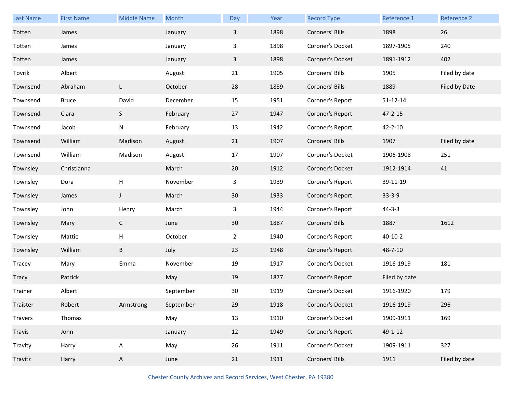| <b>Last Name</b> | <b>First Name</b> | <b>Middle Name</b> | Month     | Day          | Year | <b>Record Type</b> | Reference 1    | Reference 2   |
|------------------|-------------------|--------------------|-----------|--------------|------|--------------------|----------------|---------------|
| Totten           | James             |                    | January   | $\mathbf{3}$ | 1898 | Coroners' Bills    | 1898           | 26            |
| Totten           | James             |                    | January   | 3            | 1898 | Coroner's Docket   | 1897-1905      | 240           |
| Totten           | James             |                    | January   | $\mathbf{3}$ | 1898 | Coroner's Docket   | 1891-1912      | 402           |
| Tovrik           | Albert            |                    | August    | 21           | 1905 | Coroners' Bills    | 1905           | Filed by date |
| Townsend         | Abraham           | L                  | October   | 28           | 1889 | Coroners' Bills    | 1889           | Filed by Date |
| Townsend         | <b>Bruce</b>      | David              | December  | 15           | 1951 | Coroner's Report   | $51 - 12 - 14$ |               |
| Townsend         | Clara             | S                  | February  | 27           | 1947 | Coroner's Report   | $47 - 2 - 15$  |               |
| Townsend         | Jacob             | N                  | February  | 13           | 1942 | Coroner's Report   | $42 - 2 - 10$  |               |
| Townsend         | William           | Madison            | August    | 21           | 1907 | Coroners' Bills    | 1907           | Filed by date |
| Townsend         | William           | Madison            | August    | 17           | 1907 | Coroner's Docket   | 1906-1908      | 251           |
| Townsley         | Christianna       |                    | March     | 20           | 1912 | Coroner's Docket   | 1912-1914      | 41            |
| Townsley         | Dora              | H                  | November  | 3            | 1939 | Coroner's Report   | 39-11-19       |               |
| Townsley         | James             | $\mathsf J$        | March     | 30           | 1933 | Coroner's Report   | $33 - 3 - 9$   |               |
| Townsley         | John              | Henry              | March     | 3            | 1944 | Coroner's Report   | $44 - 3 - 3$   |               |
| Townsley         | Mary              | $\mathsf{C}$       | June      | 30           | 1887 | Coroners' Bills    | 1887           | 1612          |
| Townsley         | Mattie            | H                  | October   | $\mathbf{2}$ | 1940 | Coroner's Report   | $40 - 10 - 2$  |               |
| Townsley         | William           | B                  | July      | 23           | 1948 | Coroner's Report   | 48-7-10        |               |
| Tracey           | Mary              | Emma               | November  | 19           | 1917 | Coroner's Docket   | 1916-1919      | 181           |
| Tracy            | Patrick           |                    | May       | 19           | 1877 | Coroner's Report   | Filed by date  |               |
| Trainer          | Albert            |                    | September | 30           | 1919 | Coroner's Docket   | 1916-1920      | 179           |
| Traister         | Robert            | Armstrong          | September | 29           | 1918 | Coroner's Docket   | 1916-1919      | 296           |
| Travers          | Thomas            |                    | May       | 13           | 1910 | Coroner's Docket   | 1909-1911      | 169           |
| Travis           | John              |                    | January   | 12           | 1949 | Coroner's Report   | 49-1-12        |               |
| Travity          | Harry             | A                  | May       | 26           | 1911 | Coroner's Docket   | 1909-1911      | 327           |
| Travitz          | Harry             | A                  | June      | 21           | 1911 | Coroners' Bills    | 1911           | Filed by date |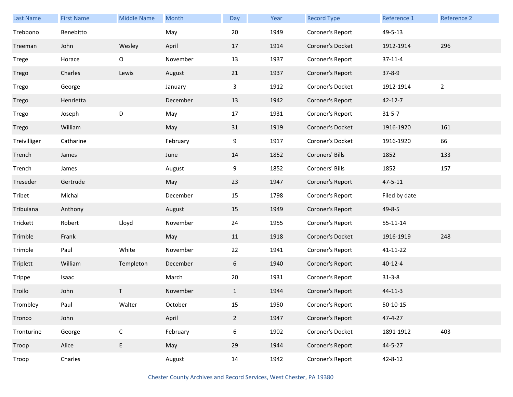| <b>Last Name</b> | <b>First Name</b> | <b>Middle Name</b> | Month    | Day          | Year | <b>Record Type</b> | Reference 1    | Reference 2    |
|------------------|-------------------|--------------------|----------|--------------|------|--------------------|----------------|----------------|
| Trebbono         | Benebitto         |                    | May      | 20           | 1949 | Coroner's Report   | 49-5-13        |                |
| Treeman          | John              | Wesley             | April    | 17           | 1914 | Coroner's Docket   | 1912-1914      | 296            |
| Trege            | Horace            | O                  | November | 13           | 1937 | Coroner's Report   | $37 - 11 - 4$  |                |
| Trego            | Charles           | Lewis              | August   | 21           | 1937 | Coroner's Report   | $37 - 8 - 9$   |                |
| Trego            | George            |                    | January  | 3            | 1912 | Coroner's Docket   | 1912-1914      | $\overline{2}$ |
| Trego            | Henrietta         |                    | December | 13           | 1942 | Coroner's Report   | $42 - 12 - 7$  |                |
| Trego            | Joseph            | D                  | May      | 17           | 1931 | Coroner's Report   | $31 - 5 - 7$   |                |
| Trego            | William           |                    | May      | 31           | 1919 | Coroner's Docket   | 1916-1920      | 161            |
| Treivilliger     | Catharine         |                    | February | 9            | 1917 | Coroner's Docket   | 1916-1920      | 66             |
| Trench           | James             |                    | June     | 14           | 1852 | Coroners' Bills    | 1852           | 133            |
| Trench           | James             |                    | August   | 9            | 1852 | Coroners' Bills    | 1852           | 157            |
| Treseder         | Gertrude          |                    | May      | 23           | 1947 | Coroner's Report   | $47 - 5 - 11$  |                |
| Tribet           | Michal            |                    | December | 15           | 1798 | Coroner's Report   | Filed by date  |                |
| Tribuiana        | Anthony           |                    | August   | 15           | 1949 | Coroner's Report   | 49-8-5         |                |
| Trickett         | Robert            | Lloyd              | November | 24           | 1955 | Coroner's Report   | $55 - 11 - 14$ |                |
| Trimble          | Frank             |                    | May      | 11           | 1918 | Coroner's Docket   | 1916-1919      | 248            |
| Trimble          | Paul              | White              | November | 22           | 1941 | Coroner's Report   | 41-11-22       |                |
| Triplett         | William           | Templeton          | December | 6            | 1940 | Coroner's Report   | $40 - 12 - 4$  |                |
| Trippe           | Isaac             |                    | March    | 20           | 1931 | Coroner's Report   | $31 - 3 - 8$   |                |
| Troilo           | John              | T.                 | November | $\mathbf{1}$ | 1944 | Coroner's Report   | 44-11-3        |                |
| Trombley         | Paul              | Walter             | October  | 15           | 1950 | Coroner's Report   | $50 - 10 - 15$ |                |
| Tronco           | John              |                    | April    | $2^{\circ}$  | 1947 | Coroner's Report   | 47-4-27        |                |
| Tronturine       | George            | $\mathsf C$        | February | 6            | 1902 | Coroner's Docket   | 1891-1912      | 403            |
| Troop            | Alice             | E                  | May      | 29           | 1944 | Coroner's Report   | 44-5-27        |                |
| Troop            | Charles           |                    | August   | 14           | 1942 | Coroner's Report   | $42 - 8 - 12$  |                |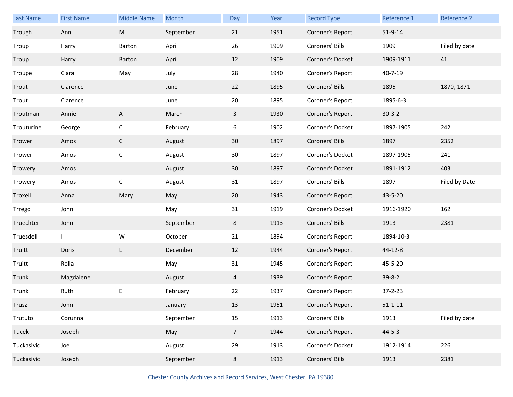| Last Name  | <b>First Name</b> | <b>Middle Name</b>                                                                                         | Month     | Day             | Year | <b>Record Type</b> | Reference 1   | Reference 2   |
|------------|-------------------|------------------------------------------------------------------------------------------------------------|-----------|-----------------|------|--------------------|---------------|---------------|
| Trough     | Ann               | $\mathsf{M}% _{T}=\mathsf{M}_{T}\!\left( a,b\right) ,\ \mathsf{M}_{T}=\mathsf{M}_{T}\!\left( a,b\right) ,$ | September | 21              | 1951 | Coroner's Report   | $51 - 9 - 14$ |               |
| Troup      | Harry             | Barton                                                                                                     | April     | 26              | 1909 | Coroners' Bills    | 1909          | Filed by date |
| Troup      | Harry             | Barton                                                                                                     | April     | 12              | 1909 | Coroner's Docket   | 1909-1911     | 41            |
| Troupe     | Clara             | May                                                                                                        | July      | 28              | 1940 | Coroner's Report   | $40 - 7 - 19$ |               |
| Trout      | Clarence          |                                                                                                            | June      | 22              | 1895 | Coroners' Bills    | 1895          | 1870, 1871    |
| Trout      | Clarence          |                                                                                                            | June      | 20              | 1895 | Coroner's Report   | 1895-6-3      |               |
| Troutman   | Annie             | A                                                                                                          | March     | $\mathbf{3}$    | 1930 | Coroner's Report   | $30-3-2$      |               |
| Trouturine | George            | $\mathsf{C}$                                                                                               | February  | 6               | 1902 | Coroner's Docket   | 1897-1905     | 242           |
| Trower     | Amos              | $\mathsf{C}$                                                                                               | August    | 30 <sup>°</sup> | 1897 | Coroners' Bills    | 1897          | 2352          |
| Trower     | Amos              | $\mathsf{C}$                                                                                               | August    | 30              | 1897 | Coroner's Docket   | 1897-1905     | 241           |
| Trowery    | Amos              |                                                                                                            | August    | 30              | 1897 | Coroner's Docket   | 1891-1912     | 403           |
| Trowery    | Amos              | $\mathsf{C}$                                                                                               | August    | 31              | 1897 | Coroners' Bills    | 1897          | Filed by Date |
| Troxell    | Anna              | Mary                                                                                                       | May       | 20              | 1943 | Coroner's Report   | 43-5-20       |               |
| Trrego     | John              |                                                                                                            | May       | 31              | 1919 | Coroner's Docket   | 1916-1920     | 162           |
| Truechter  | John              |                                                                                                            | September | 8               | 1913 | Coroners' Bills    | 1913          | 2381          |
| Truesdell  | $\mathbf{I}$      | W                                                                                                          | October   | 21              | 1894 | Coroner's Report   | 1894-10-3     |               |
| Truitt     | Doris             | L                                                                                                          | December  | 12              | 1944 | Coroner's Report   | 44-12-8       |               |
| Truitt     | Rolla             |                                                                                                            | May       | 31              | 1945 | Coroner's Report   | 45-5-20       |               |
| Trunk      | Magdalene         |                                                                                                            | August    | $\overline{4}$  | 1939 | Coroner's Report   | $39 - 8 - 2$  |               |
| Trunk      | Ruth              | Е                                                                                                          | February  | 22              | 1937 | Coroner's Report   | $37 - 2 - 23$ |               |
| Trusz      | John              |                                                                                                            | January   | 13              | 1951 | Coroner's Report   | $51 - 1 - 11$ |               |
| Trututo    | Corunna           |                                                                                                            | September | 15              | 1913 | Coroners' Bills    | 1913          | Filed by date |
| Tucek      | Joseph            |                                                                                                            | May       | $7\overline{ }$ | 1944 | Coroner's Report   | $44 - 5 - 3$  |               |
| Tuckasivic | Joe               |                                                                                                            | August    | 29              | 1913 | Coroner's Docket   | 1912-1914     | 226           |
| Tuckasivic | Joseph            |                                                                                                            | September | 8               | 1913 | Coroners' Bills    | 1913          | 2381          |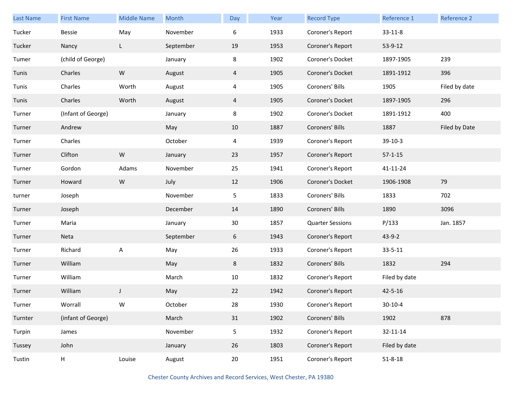| <b>Last Name</b> | <b>First Name</b>  | <b>Middle Name</b> | Month     | Day            | Year | <b>Record Type</b>      | Reference 1   | Reference 2   |
|------------------|--------------------|--------------------|-----------|----------------|------|-------------------------|---------------|---------------|
| Tucker           | Bessie             | May                | November  | 6              | 1933 | Coroner's Report        | $33 - 11 - 8$ |               |
| Tucker           | Nancy              | L                  | September | 19             | 1953 | Coroner's Report        | 53-9-12       |               |
| Tumer            | (child of George)  |                    | January   | 8              | 1902 | Coroner's Docket        | 1897-1905     | 239           |
| Tunis            | Charles            | ${\sf W}$          | August    | 4              | 1905 | Coroner's Docket        | 1891-1912     | 396           |
| Tunis            | Charles            | Worth              | August    | $\overline{4}$ | 1905 | Coroners' Bills         | 1905          | Filed by date |
| Tunis            | Charles            | Worth              | August    | 4              | 1905 | Coroner's Docket        | 1897-1905     | 296           |
| Turner           | (Infant of George) |                    | January   | 8              | 1902 | Coroner's Docket        | 1891-1912     | 400           |
| Turner           | Andrew             |                    | May       | 10             | 1887 | Coroners' Bills         | 1887          | Filed by Date |
| Turner           | Charles            |                    | October   | $\overline{4}$ | 1939 | Coroner's Report        | 39-10-3       |               |
| Turner           | Clifton            | ${\sf W}$          | January   | 23             | 1957 | Coroner's Report        | $57 - 1 - 15$ |               |
| Turner           | Gordon             | Adams              | November  | 25             | 1941 | Coroner's Report        | 41-11-24      |               |
| Turner           | Howard             | ${\sf W}$          | July      | 12             | 1906 | Coroner's Docket        | 1906-1908     | 79            |
| turner           | Joseph             |                    | November  | 5              | 1833 | Coroners' Bills         | 1833          | 702           |
| Turner           | Joseph             |                    | December  | 14             | 1890 | Coroners' Bills         | 1890          | 3096          |
| Turner           | Maria              |                    | January   | 30             | 1857 | <b>Quarter Sessions</b> | P/133         | Jan. 1857     |
| Turner           | Neta               |                    | September | 6              | 1943 | Coroner's Report        | $43 - 9 - 2$  |               |
| Turner           | Richard            | A                  | May       | 26             | 1933 | Coroner's Report        | $33 - 5 - 11$ |               |
| Turner           | William            |                    | May       | 8              | 1832 | Coroners' Bills         | 1832          | 294           |
| Turner           | William            |                    | March     | 10             | 1832 | Coroner's Report        | Filed by date |               |
| Turner           | William            | J                  | May       | 22             | 1942 | Coroner's Report        | 42-5-16       |               |
| Turner           | Worrall            | W                  | October   | 28             | 1930 | Coroner's Report        | $30 - 10 - 4$ |               |
| Turnter          | (infant of George) |                    | March     | 31             | 1902 | Coroners' Bills         | 1902          | 878           |
| Turpin           | James              |                    | November  | 5              | 1932 | Coroner's Report        | 32-11-14      |               |
| Tussey           | John               |                    | January   | 26             | 1803 | Coroner's Report        | Filed by date |               |
| Tustin           | Н                  | Louise             | August    | 20             | 1951 | Coroner's Report        | $51 - 8 - 18$ |               |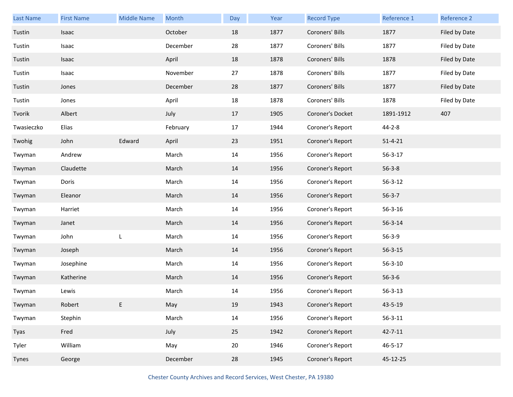| <b>Last Name</b> | <b>First Name</b> | <b>Middle Name</b> | Month    | Day | Year | <b>Record Type</b> | Reference 1   | Reference 2   |
|------------------|-------------------|--------------------|----------|-----|------|--------------------|---------------|---------------|
| Tustin           | Isaac             |                    | October  | 18  | 1877 | Coroners' Bills    | 1877          | Filed by Date |
| Tustin           | Isaac             |                    | December | 28  | 1877 | Coroners' Bills    | 1877          | Filed by Date |
| Tustin           | Isaac             |                    | April    | 18  | 1878 | Coroners' Bills    | 1878          | Filed by Date |
| Tustin           | Isaac             |                    | November | 27  | 1878 | Coroners' Bills    | 1877          | Filed by Date |
| Tustin           | Jones             |                    | December | 28  | 1877 | Coroners' Bills    | 1877          | Filed by Date |
| Tustin           | Jones             |                    | April    | 18  | 1878 | Coroners' Bills    | 1878          | Filed by Date |
| Tvorik           | Albert            |                    | July     | 17  | 1905 | Coroner's Docket   | 1891-1912     | 407           |
| Twasieczko       | Elias             |                    | February | 17  | 1944 | Coroner's Report   | $44 - 2 - 8$  |               |
| Twohig           | John              | Edward             | April    | 23  | 1951 | Coroner's Report   | $51 - 4 - 21$ |               |
| Twyman           | Andrew            |                    | March    | 14  | 1956 | Coroner's Report   | $56 - 3 - 17$ |               |
| Twyman           | Claudette         |                    | March    | 14  | 1956 | Coroner's Report   | $56 - 3 - 8$  |               |
| Twyman           | Doris             |                    | March    | 14  | 1956 | Coroner's Report   | $56 - 3 - 12$ |               |
| Twyman           | Eleanor           |                    | March    | 14  | 1956 | Coroner's Report   | $56 - 3 - 7$  |               |
| Twyman           | Harriet           |                    | March    | 14  | 1956 | Coroner's Report   | $56 - 3 - 16$ |               |
| Twyman           | Janet             |                    | March    | 14  | 1956 | Coroner's Report   | $56 - 3 - 14$ |               |
| Twyman           | John              | L                  | March    | 14  | 1956 | Coroner's Report   | $56 - 3 - 9$  |               |
| Twyman           | Joseph            |                    | March    | 14  | 1956 | Coroner's Report   | $56 - 3 - 15$ |               |
| Twyman           | Josephine         |                    | March    | 14  | 1956 | Coroner's Report   | $56 - 3 - 10$ |               |
| Twyman           | Katherine         |                    | March    | 14  | 1956 | Coroner's Report   | $56 - 3 - 6$  |               |
| Twyman           | Lewis             |                    | March    | 14  | 1956 | Coroner's Report   | $56 - 3 - 13$ |               |
| Twyman           | Robert            | E.                 | May      | 19  | 1943 | Coroner's Report   | 43-5-19       |               |
| Twyman           | Stephin           |                    | March    | 14  | 1956 | Coroner's Report   | $56 - 3 - 11$ |               |
| Tyas             | Fred              |                    | July     | 25  | 1942 | Coroner's Report   | $42 - 7 - 11$ |               |
| Tyler            | William           |                    | May      | 20  | 1946 | Coroner's Report   | $46 - 5 - 17$ |               |
| Tynes            | George            |                    | December | 28  | 1945 | Coroner's Report   | 45-12-25      |               |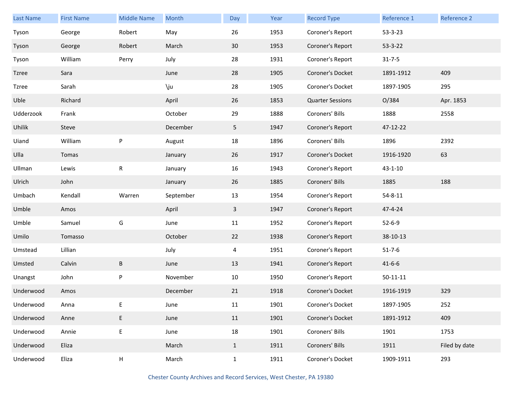| Last Name    | <b>First Name</b> | <b>Middle Name</b> | Month     | Day            | Year | <b>Record Type</b>      | Reference 1    | Reference 2   |
|--------------|-------------------|--------------------|-----------|----------------|------|-------------------------|----------------|---------------|
| Tyson        | George            | Robert             | May       | 26             | 1953 | Coroner's Report        | 53-3-23        |               |
| Tyson        | George            | Robert             | March     | 30             | 1953 | Coroner's Report        | $53 - 3 - 22$  |               |
| Tyson        | William           | Perry              | July      | 28             | 1931 | Coroner's Report        | $31 - 7 - 5$   |               |
| <b>Tzree</b> | Sara              |                    | June      | 28             | 1905 | Coroner's Docket        | 1891-1912      | 409           |
| Tzree        | Sarah             |                    | \ju       | 28             | 1905 | Coroner's Docket        | 1897-1905      | 295           |
| Uble         | Richard           |                    | April     | 26             | 1853 | <b>Quarter Sessions</b> | O/384          | Apr. 1853     |
| Udderzook    | Frank             |                    | October   | 29             | 1888 | Coroners' Bills         | 1888           | 2558          |
| Uhilik       | Steve             |                    | December  | 5 <sub>1</sub> | 1947 | Coroner's Report        | 47-12-22       |               |
| Uiand        | William           | ${\sf P}$          | August    | 18             | 1896 | Coroners' Bills         | 1896           | 2392          |
| Ulla         | Tomas             |                    | January   | 26             | 1917 | Coroner's Docket        | 1916-1920      | 63            |
| Ullman       | Lewis             | ${\sf R}$          | January   | 16             | 1943 | Coroner's Report        | $43 - 1 - 10$  |               |
| Ulrich       | John              |                    | January   | 26             | 1885 | Coroners' Bills         | 1885           | 188           |
| Umbach       | Kendall           | Warren             | September | 13             | 1954 | Coroner's Report        | $54 - 8 - 11$  |               |
| Umble        | Amos              |                    | April     | $\mathbf{3}$   | 1947 | Coroner's Report        | 47-4-24        |               |
| Umble        | Samuel            | G                  | June      | 11             | 1952 | Coroner's Report        | $52 - 6 - 9$   |               |
| Umilo        | Tomasso           |                    | October   | 22             | 1938 | Coroner's Report        | 38-10-13       |               |
| Umstead      | Lillian           |                    | July      | 4              | 1951 | Coroner's Report        | $51 - 7 - 6$   |               |
| Umsted       | Calvin            | B                  | June      | 13             | 1941 | Coroner's Report        | $41 - 6 - 6$   |               |
| Unangst      | John              | P                  | November  | 10             | 1950 | Coroner's Report        | $50 - 11 - 11$ |               |
| Underwood    | Amos              |                    | December  | 21             | 1918 | Coroner's Docket        | 1916-1919      | 329           |
| Underwood    | Anna              | E                  | June      | $11\,$         | 1901 | Coroner's Docket        | 1897-1905      | 252           |
| Underwood    | Anne              | E                  | June      | 11             | 1901 | Coroner's Docket        | 1891-1912      | 409           |
| Underwood    | Annie             | $\mathsf E$        | June      | 18             | 1901 | Coroners' Bills         | 1901           | 1753          |
| Underwood    | Eliza             |                    | March     | $\mathbf{1}$   | 1911 | Coroners' Bills         | 1911           | Filed by date |
| Underwood    | Eliza             | Н                  | March     | $\mathbf{1}$   | 1911 | Coroner's Docket        | 1909-1911      | 293           |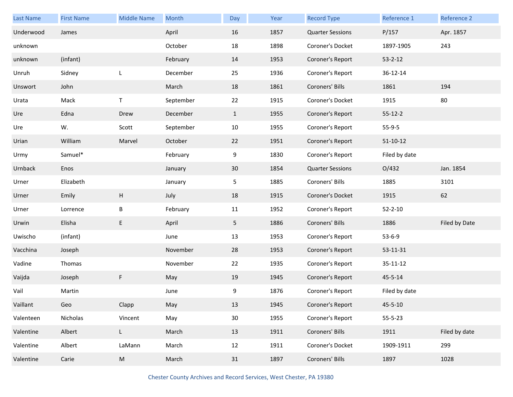| Last Name | <b>First Name</b> | <b>Middle Name</b> | Month     | Day             | Year | <b>Record Type</b>      | Reference 1    | Reference 2   |
|-----------|-------------------|--------------------|-----------|-----------------|------|-------------------------|----------------|---------------|
| Underwood | James             |                    | April     | 16              | 1857 | <b>Quarter Sessions</b> | P/157          | Apr. 1857     |
| unknown   |                   |                    | October   | 18              | 1898 | Coroner's Docket        | 1897-1905      | 243           |
| unknown   | (infant)          |                    | February  | 14              | 1953 | Coroner's Report        | $53 - 2 - 12$  |               |
| Unruh     | Sidney            | L                  | December  | 25              | 1936 | Coroner's Report        | 36-12-14       |               |
| Unswort   | John              |                    | March     | 18              | 1861 | Coroners' Bills         | 1861           | 194           |
| Urata     | Mack              | Τ                  | September | 22              | 1915 | Coroner's Docket        | 1915           | 80            |
| Ure       | Edna              | Drew               | December  | $\mathbf{1}$    | 1955 | Coroner's Report        | $55 - 12 - 2$  |               |
| Ure       | W.                | Scott              | September | 10              | 1955 | Coroner's Report        | $55-9-5$       |               |
| Urian     | William           | Marvel             | October   | 22              | 1951 | Coroner's Report        | $51 - 10 - 12$ |               |
| Urmy      | Samuel*           |                    | February  | 9               | 1830 | Coroner's Report        | Filed by date  |               |
| Urnback   | Enos              |                    | January   | 30              | 1854 | <b>Quarter Sessions</b> | O/432          | Jan. 1854     |
| Urner     | Elizabeth         |                    | January   | 5               | 1885 | Coroners' Bills         | 1885           | 3101          |
| Urner     | Emily             | Н                  | July      | 18              | 1915 | Coroner's Docket        | 1915           | 62            |
| Urner     | Lorrence          | B                  | February  | 11              | 1952 | Coroner's Report        | $52 - 2 - 10$  |               |
| Urwin     | Elisha            | E                  | April     | 5               | 1886 | Coroners' Bills         | 1886           | Filed by Date |
| Uwischo   | (infant)          |                    | June      | 13              | 1953 | Coroner's Report        | $53 - 6 - 9$   |               |
| Vacchina  | Joseph            |                    | November  | 28              | 1953 | Coroner's Report        | 53-11-31       |               |
| Vadine    | Thomas            |                    | November  | 22              | 1935 | Coroner's Report        | 35-11-12       |               |
| Vaijda    | Joseph            | F                  | May       | 19              | 1945 | Coroner's Report        | 45-5-14        |               |
| Vail      | Martin            |                    | June      | 9               | 1876 | Coroner's Report        | Filed by date  |               |
| Vaillant  | Geo               | Clapp              | May       | 13              | 1945 | Coroner's Report        | $45 - 5 - 10$  |               |
| Valenteen | Nicholas          | Vincent            | May       | 30 <sub>o</sub> | 1955 | Coroner's Report        | $55 - 5 - 23$  |               |
| Valentine | Albert            | L                  | March     | 13              | 1911 | Coroners' Bills         | 1911           | Filed by date |
| Valentine | Albert            | LaMann             | March     | 12              | 1911 | Coroner's Docket        | 1909-1911      | 299           |
| Valentine | Carie             | ${\sf M}$          | March     | 31              | 1897 | Coroners' Bills         | 1897           | 1028          |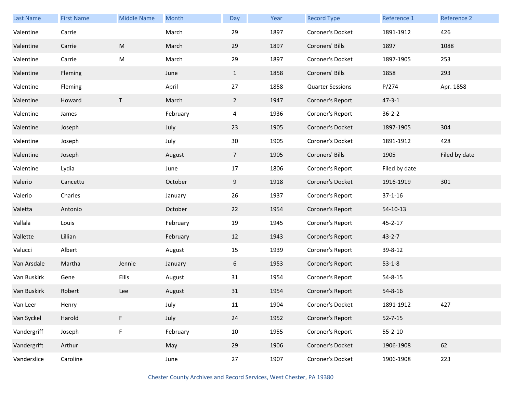| Last Name   | <b>First Name</b> | <b>Middle Name</b> | Month    | Day            | Year | <b>Record Type</b>      | Reference 1   | Reference 2   |
|-------------|-------------------|--------------------|----------|----------------|------|-------------------------|---------------|---------------|
| Valentine   | Carrie            |                    | March    | 29             | 1897 | Coroner's Docket        | 1891-1912     | 426           |
| Valentine   | Carrie            | ${\sf M}$          | March    | 29             | 1897 | Coroners' Bills         | 1897          | 1088          |
| Valentine   | Carrie            | ${\sf M}$          | March    | 29             | 1897 | Coroner's Docket        | 1897-1905     | 253           |
| Valentine   | Fleming           |                    | June     | $\mathbf{1}$   | 1858 | Coroners' Bills         | 1858          | 293           |
| Valentine   | Fleming           |                    | April    | 27             | 1858 | <b>Quarter Sessions</b> | P/274         | Apr. 1858     |
| Valentine   | Howard            | T                  | March    | $\overline{2}$ | 1947 | Coroner's Report        | $47 - 3 - 1$  |               |
| Valentine   | James             |                    | February | 4              | 1936 | Coroner's Report        | $36 - 2 - 2$  |               |
| Valentine   | Joseph            |                    | July     | 23             | 1905 | Coroner's Docket        | 1897-1905     | 304           |
| Valentine   | Joseph            |                    | July     | 30             | 1905 | Coroner's Docket        | 1891-1912     | 428           |
| Valentine   | Joseph            |                    | August   | $\overline{7}$ | 1905 | Coroners' Bills         | 1905          | Filed by date |
| Valentine   | Lydia             |                    | June     | 17             | 1806 | Coroner's Report        | Filed by date |               |
| Valerio     | Cancettu          |                    | October  | 9              | 1918 | Coroner's Docket        | 1916-1919     | 301           |
| Valerio     | Charles           |                    | January  | 26             | 1937 | Coroner's Report        | $37 - 1 - 16$ |               |
| Valetta     | Antonio           |                    | October  | 22             | 1954 | Coroner's Report        | 54-10-13      |               |
| Vallala     | Louis             |                    | February | 19             | 1945 | Coroner's Report        | $45 - 2 - 17$ |               |
| Vallette    | Lillian           |                    | February | 12             | 1943 | Coroner's Report        | $43 - 2 - 7$  |               |
| Valucci     | Albert            |                    | August   | 15             | 1939 | Coroner's Report        | 39-8-12       |               |
| Van Arsdale | Martha            | Jennie             | January  | 6              | 1953 | Coroner's Report        | $53-1-8$      |               |
| Van Buskirk | Gene              | Ellis              | August   | 31             | 1954 | Coroner's Report        | 54-8-15       |               |
| Van Buskirk | Robert            | Lee                | August   | 31             | 1954 | Coroner's Report        | $54 - 8 - 16$ |               |
| Van Leer    | Henry             |                    | July     | 11             | 1904 | Coroner's Docket        | 1891-1912     | 427           |
| Van Syckel  | Harold            | F                  | July     | 24             | 1952 | Coroner's Report        | $52 - 7 - 15$ |               |
| Vandergriff | Joseph            | F                  | February | 10             | 1955 | Coroner's Report        | $55 - 2 - 10$ |               |
| Vandergrift | Arthur            |                    | May      | 29             | 1906 | Coroner's Docket        | 1906-1908     | 62            |
| Vanderslice | Caroline          |                    | June     | 27             | 1907 | Coroner's Docket        | 1906-1908     | 223           |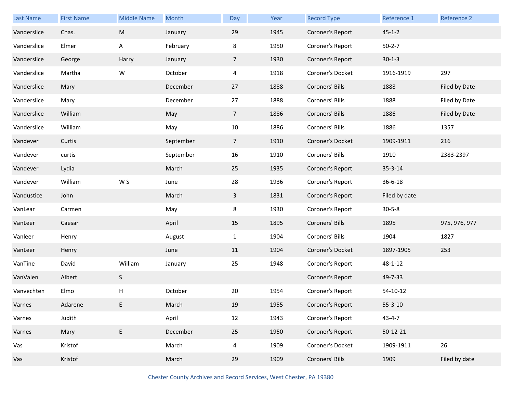| <b>Last Name</b> | <b>First Name</b> | <b>Middle Name</b> | Month     | Day            | Year | <b>Record Type</b> | Reference 1   | Reference 2   |
|------------------|-------------------|--------------------|-----------|----------------|------|--------------------|---------------|---------------|
| Vanderslice      | Chas.             | ${\sf M}$          | January   | 29             | 1945 | Coroner's Report   | $45 - 1 - 2$  |               |
| Vanderslice      | Elmer             | A                  | February  | 8              | 1950 | Coroner's Report   | $50 - 2 - 7$  |               |
| Vanderslice      | George            | Harry              | January   | $\overline{7}$ | 1930 | Coroner's Report   | $30-1-3$      |               |
| Vanderslice      | Martha            | W                  | October   | $\overline{4}$ | 1918 | Coroner's Docket   | 1916-1919     | 297           |
| Vanderslice      | Mary              |                    | December  | 27             | 1888 | Coroners' Bills    | 1888          | Filed by Date |
| Vanderslice      | Mary              |                    | December  | 27             | 1888 | Coroners' Bills    | 1888          | Filed by Date |
| Vanderslice      | William           |                    | May       | 7 <sup>7</sup> | 1886 | Coroners' Bills    | 1886          | Filed by Date |
| Vanderslice      | William           |                    | May       | 10             | 1886 | Coroners' Bills    | 1886          | 1357          |
| Vandever         | Curtis            |                    | September | $\overline{7}$ | 1910 | Coroner's Docket   | 1909-1911     | 216           |
| Vandever         | curtis            |                    | September | 16             | 1910 | Coroners' Bills    | 1910          | 2383-2397     |
| Vandever         | Lydia             |                    | March     | 25             | 1935 | Coroner's Report   | $35 - 3 - 14$ |               |
| Vandever         | William           | W S                | June      | 28             | 1936 | Coroner's Report   | $36 - 6 - 18$ |               |
| Vandustice       | John              |                    | March     | $\mathbf{3}$   | 1831 | Coroner's Report   | Filed by date |               |
| VanLear          | Carmen            |                    | May       | 8              | 1930 | Coroner's Report   | $30 - 5 - 8$  |               |
| VanLeer          | Caesar            |                    | April     | 15             | 1895 | Coroners' Bills    | 1895          | 975, 976, 977 |
| Vanleer          | Henry             |                    | August    | $\mathbf{1}$   | 1904 | Coroners' Bills    | 1904          | 1827          |
| VanLeer          | Henry             |                    | June      | 11             | 1904 | Coroner's Docket   | 1897-1905     | 253           |
| VanTine          | David             | William            | January   | 25             | 1948 | Coroner's Report   | 48-1-12       |               |
| VanValen         | Albert            | S                  |           |                |      | Coroner's Report   | 49-7-33       |               |
| Vanvechten       | Elmo              | Н                  | October   | 20             | 1954 | Coroner's Report   | 54-10-12      |               |
| Varnes           | Adarene           | E.                 | March     | 19             | 1955 | Coroner's Report   | $55 - 3 - 10$ |               |
| Varnes           | Judith            |                    | April     | 12             | 1943 | Coroner's Report   | $43 - 4 - 7$  |               |
| Varnes           | Mary              | $\mathsf E$        | December  | 25             | 1950 | Coroner's Report   | 50-12-21      |               |
| Vas              | Kristof           |                    | March     | $\overline{4}$ | 1909 | Coroner's Docket   | 1909-1911     | 26            |
| Vas              | Kristof           |                    | March     | 29             | 1909 | Coroners' Bills    | 1909          | Filed by date |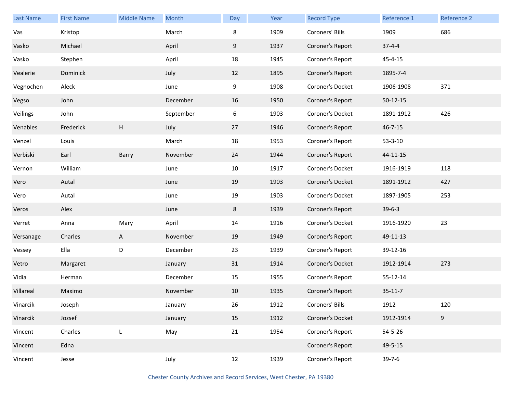| <b>Last Name</b> | <b>First Name</b> | <b>Middle Name</b> | Month     | Day | Year | <b>Record Type</b> | Reference 1   | Reference 2 |
|------------------|-------------------|--------------------|-----------|-----|------|--------------------|---------------|-------------|
| Vas              | Kristop           |                    | March     | 8   | 1909 | Coroners' Bills    | 1909          | 686         |
| Vasko            | Michael           |                    | April     | 9   | 1937 | Coroner's Report   | $37 - 4 - 4$  |             |
| Vasko            | Stephen           |                    | April     | 18  | 1945 | Coroner's Report   | 45-4-15       |             |
| Vealerie         | Dominick          |                    | July      | 12  | 1895 | Coroner's Report   | 1895-7-4      |             |
| Vegnochen        | Aleck             |                    | June      | 9   | 1908 | Coroner's Docket   | 1906-1908     | 371         |
| Vegso            | John              |                    | December  | 16  | 1950 | Coroner's Report   | $50-12-15$    |             |
| Veilings         | John              |                    | September | 6   | 1903 | Coroner's Docket   | 1891-1912     | 426         |
| Venables         | Frederick         | н                  | July      | 27  | 1946 | Coroner's Report   | $46 - 7 - 15$ |             |
| Venzel           | Louis             |                    | March     | 18  | 1953 | Coroner's Report   | $53 - 3 - 10$ |             |
| Verbiski         | Earl              | Barry              | November  | 24  | 1944 | Coroner's Report   | 44-11-15      |             |
| Vernon           | William           |                    | June      | 10  | 1917 | Coroner's Docket   | 1916-1919     | 118         |
| Vero             | Autal             |                    | June      | 19  | 1903 | Coroner's Docket   | 1891-1912     | 427         |
| Vero             | Autal             |                    | June      | 19  | 1903 | Coroner's Docket   | 1897-1905     | 253         |
| Veros            | Alex              |                    | June      | 8   | 1939 | Coroner's Report   | $39-6-3$      |             |
| Verret           | Anna              | Mary               | April     | 14  | 1916 | Coroner's Docket   | 1916-1920     | 23          |
| Versanage        | Charles           | A                  | November  | 19  | 1949 | Coroner's Report   | 49-11-13      |             |
| Vessey           | Ella              | D                  | December  | 23  | 1939 | Coroner's Report   | 39-12-16      |             |
| Vetro            | Margaret          |                    | January   | 31  | 1914 | Coroner's Docket   | 1912-1914     | 273         |
| Vidia            | Herman            |                    | December  | 15  | 1955 | Coroner's Report   | 55-12-14      |             |
| Villareal        | Maximo            |                    | November  | 10  | 1935 | Coroner's Report   | $35 - 11 - 7$ |             |
| Vinarcik         | Joseph            |                    | January   | 26  | 1912 | Coroners' Bills    | 1912          | 120         |
| Vinarcik         | Jozsef            |                    | January   | 15  | 1912 | Coroner's Docket   | 1912-1914     | 9           |
| Vincent          | Charles           | L                  | May       | 21  | 1954 | Coroner's Report   | $54 - 5 - 26$ |             |
| Vincent          | Edna              |                    |           |     |      | Coroner's Report   | 49-5-15       |             |
| Vincent          | Jesse             |                    | July      | 12  | 1939 | Coroner's Report   | $39 - 7 - 6$  |             |